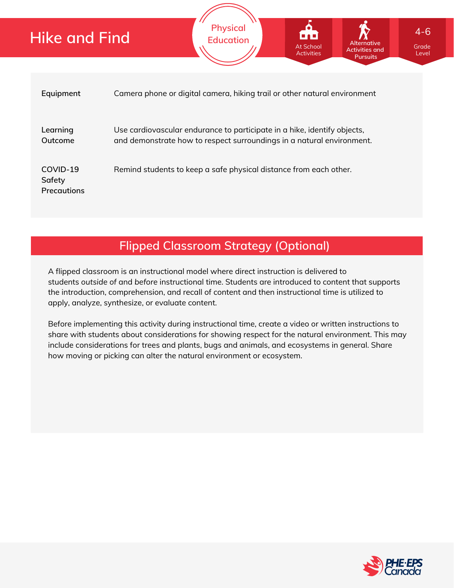| Hike and Find                            | <b>FIIYSILUI</b><br>$4 - 6$<br><b>FA 3</b><br><b>Education</b><br><b>Alternative</b><br><b>At School</b><br>Grade<br><b>Activities and</b><br><b>Activities</b><br>Level<br><b>Pursuits</b> |  |  |  |
|------------------------------------------|---------------------------------------------------------------------------------------------------------------------------------------------------------------------------------------------|--|--|--|
| Equipment                                | Camera phone or digital camera, hiking trail or other natural environment                                                                                                                   |  |  |  |
| Learning<br>Outcome                      | Use cardiovascular endurance to participate in a hike, identify objects,<br>and demonstrate how to respect surroundings in a natural environment.                                           |  |  |  |
| COVID-19<br>Safety<br><b>Precautions</b> | Remind students to keep a safe physical distance from each other.                                                                                                                           |  |  |  |

**Physical**

## **Flipped Classroom Strategy (Optional)**

A flipped classroom is an instructional model where direct instruction is delivered to students *outside of* and *before* instructional time. Students are introduced to content that supports the introduction, comprehension, and recall of content and then instructional time is utilized to apply, analyze, synthesize, or evaluate content.

Before implementing this activity during instructional time, create a video or written instructions to share with students about considerations for showing respect for the natural environment. This may include considerations for trees and plants, bugs and animals, and ecosystems in general. Share how moving or picking can alter the natural environment or ecosystem.

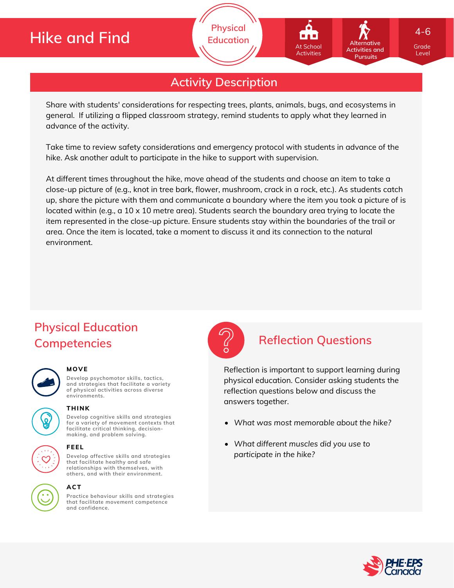# **Hike and Find**

**Physical Education**

## **Activity Description**

Share with students' considerations for respecting trees, plants, animals, bugs, and ecosystems in general. If utilizing a flipped classroom strategy, remind students to apply what they learned in advance of the activity.

Take time to review safety considerations and emergency protocol with students in advance of the hike. Ask another adult to participate in the hike to support with supervision.

At different times throughout the hike, move ahead of the students and choose an item to take a close-up picture of (e.g., knot in tree bark, flower, mushroom, crack in a rock, etc.). As students catch up, share the picture with them and communicate a boundary where the item you took a picture of is located within (e.g., a 10 x 10 metre area). Students search the boundary area trying to locate the item represented in the close-up picture. Ensure students stay within the boundaries of the trail or area. Once the item is located, take a moment to discuss it and its connection to the natural environment.

# **Physical Education Competencies Reflection Questions**

## **MOVE**

**THINK**

**Develop psychomotor skills, tactics, and strategies that facilitate a variety of physical activities across diverse environments.**

**Develop cognitive skills and strategies for a variety of movement contexts that facilitate critical thinking, decision making, and problem solving.**

**that facilitate healthy and safe relationships with themselves, with others, and with their environment.**

# **Develop affective skills and strategies**

## **ACT**

**FEEL**

**Practice behaviour skills and strategies that facilitate movement competence and confidence.**



Reflection is important to support learning during physical education. Consider asking students the reflection questions below and discuss the answers together.

- *What was most memorable about the hike?*
- *What different muscles did you use to participate in the hike?*



Grade Level

**Alternative Activities and Pursuits**

At School Activities

4-6